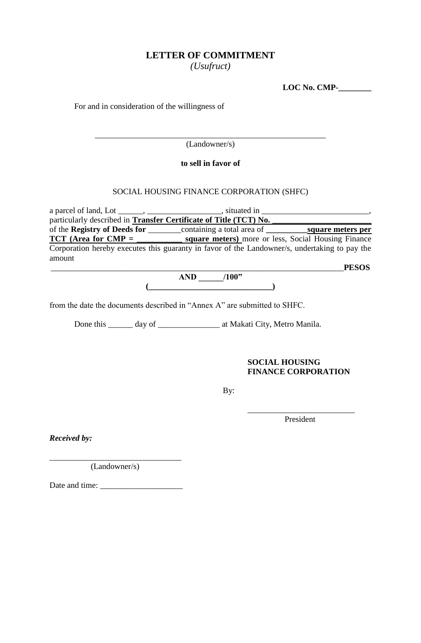# **LETTER OF COMMITMENT**

*(Usufruct)*

**LOC No. CMP-\_\_\_\_\_\_\_\_**

For and in consideration of the willingness of

\_\_\_\_\_\_\_\_\_\_\_\_\_\_\_\_\_\_\_\_\_\_\_\_\_\_\_\_\_\_\_\_\_\_\_\_\_\_\_\_\_\_\_\_\_\_\_\_\_\_\_\_\_\_\_\_ (Landowner/s)

## **to sell in favor of**

## SOCIAL HOUSING FINANCE CORPORATION (SHFC)

a parcel of land, Lot \_\_\_\_\_\_, \_\_\_\_\_\_\_\_\_\_\_\_\_\_\_\_\_\_, situated in \_\_\_\_\_\_\_\_\_\_\_\_\_\_\_\_\_\_\_\_\_\_\_\_\_\_, particularly described in **Transfer Certificate of Title (TCT) No.** of the **Registry of Deeds for** \_\_\_\_\_\_\_\_containing a total area of **\_\_\_\_\_\_\_\_\_\_square meters per TCT** (Area for CMP = \_\_\_\_\_\_\_\_\_\_\_\_\_ square meters) more or less, Social Housing Finance Corporation hereby executes this guaranty in favor of the Landowner/s, undertaking to pay the amount \_\_\_\_\_\_\_\_\_\_\_\_\_\_\_\_\_\_\_\_\_\_\_\_\_\_\_\_\_\_\_\_\_\_\_\_\_\_\_\_\_\_\_\_\_\_\_\_\_\_\_\_\_\_\_\_\_\_\_\_\_\_\_\_\_\_\_\_\_\_\_**PESOS** 

**AND \_\_\_\_\_\_/100"**  $\overline{\phantom{a}}$ 

from the date the documents described in "Annex A" are submitted to SHFC.

Done this \_\_\_\_\_\_ day of \_\_\_\_\_\_\_\_\_\_\_\_\_\_\_\_\_\_\_ at Makati City, Metro Manila.

## **SOCIAL HOUSING FINANCE CORPORATION**

By:

\_\_\_\_\_\_\_\_\_\_\_\_\_\_\_\_\_\_\_\_\_\_\_\_\_\_ President

*Received by:*

\_\_\_\_\_\_\_\_\_\_\_\_\_\_\_\_\_\_\_\_\_\_\_\_\_\_\_\_\_\_\_\_ (Landowner/s)

Date and time: \_\_\_\_\_\_\_\_\_\_\_\_\_\_\_\_\_\_\_\_